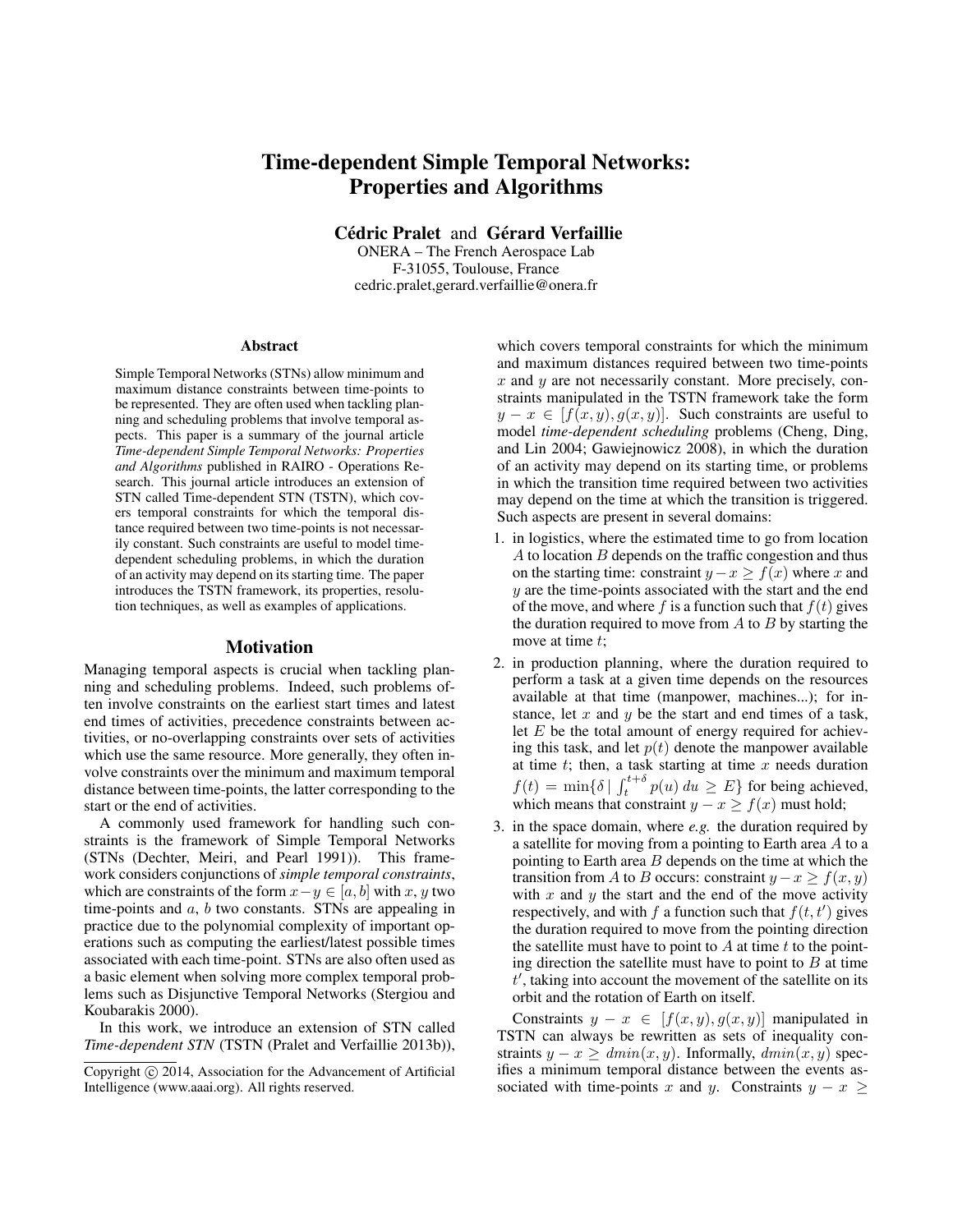# Time-dependent Simple Temporal Networks: Properties and Algorithms

Cédric Pralet and Gérard Verfaillie

ONERA – The French Aerospace Lab F-31055, Toulouse, France cedric.pralet,gerard.verfaillie@onera.fr

#### **Abstract**

Simple Temporal Networks (STNs) allow minimum and maximum distance constraints between time-points to be represented. They are often used when tackling planning and scheduling problems that involve temporal aspects. This paper is a summary of the journal article *Time-dependent Simple Temporal Networks: Properties and Algorithms* published in RAIRO - Operations Research. This journal article introduces an extension of STN called Time-dependent STN (TSTN), which covers temporal constraints for which the temporal distance required between two time-points is not necessarily constant. Such constraints are useful to model timedependent scheduling problems, in which the duration of an activity may depend on its starting time. The paper introduces the TSTN framework, its properties, resolution techniques, as well as examples of applications.

#### Motivation

Managing temporal aspects is crucial when tackling planning and scheduling problems. Indeed, such problems often involve constraints on the earliest start times and latest end times of activities, precedence constraints between activities, or no-overlapping constraints over sets of activities which use the same resource. More generally, they often involve constraints over the minimum and maximum temporal distance between time-points, the latter corresponding to the start or the end of activities.

A commonly used framework for handling such constraints is the framework of Simple Temporal Networks (STNs (Dechter, Meiri, and Pearl 1991)). This framework considers conjunctions of *simple temporal constraints*, which are constraints of the form  $x-y \in [a, b]$  with x, y two time-points and a, b two constants. STNs are appealing in practice due to the polynomial complexity of important operations such as computing the earliest/latest possible times associated with each time-point. STNs are also often used as a basic element when solving more complex temporal problems such as Disjunctive Temporal Networks (Stergiou and Koubarakis 2000).

In this work, we introduce an extension of STN called *Time-dependent STN* (TSTN (Pralet and Verfaillie 2013b)),

which covers temporal constraints for which the minimum and maximum distances required between two time-points  $x$  and  $y$  are not necessarily constant. More precisely, constraints manipulated in the TSTN framework take the form  $y - x \in [f(x, y), g(x, y)]$ . Such constraints are useful to model *time-dependent scheduling* problems (Cheng, Ding, and Lin 2004; Gawiejnowicz 2008), in which the duration of an activity may depend on its starting time, or problems in which the transition time required between two activities may depend on the time at which the transition is triggered. Such aspects are present in several domains:

- 1. in logistics, where the estimated time to go from location  $A$  to location  $B$  depends on the traffic congestion and thus on the starting time: constraint  $y - x \ge f(x)$  where x and  $y$  are the time-points associated with the start and the end of the move, and where f is a function such that  $f(t)$  gives the duration required to move from  $A$  to  $B$  by starting the move at time t;
- 2. in production planning, where the duration required to perform a task at a given time depends on the resources available at that time (manpower, machines...); for instance, let x and y be the start and end times of a task, let  $E$  be the total amount of energy required for achieving this task, and let  $p(t)$  denote the manpower available at time  $t$ ; then, a task starting at time  $x$  needs duration  $f(t) = \min\{\delta \mid \int_t^{t+\delta} p(u) \, du \geq E\}$  for being achieved, which means that constraint  $y - x \ge f(x)$  must hold;
- 3. in the space domain, where *e.g.* the duration required by a satellite for moving from a pointing to Earth area A to a pointing to Earth area  $B$  depends on the time at which the transition from A to B occurs: constraint  $y - x \ge f(x, y)$ with  $x$  and  $y$  the start and the end of the move activity respectively, and with f a function such that  $f(t, t')$  gives the duration required to move from the pointing direction the satellite must have to point to  $A$  at time  $t$  to the pointing direction the satellite must have to point to  $B$  at time  $t'$ , taking into account the movement of the satellite on its orbit and the rotation of Earth on itself.

Constraints  $y - x \in [f(x, y), g(x, y)]$  manipulated in TSTN can always be rewritten as sets of inequality constraints  $y - x \geq dmin(x, y)$ . Informally,  $dmin(x, y)$  specifies a minimum temporal distance between the events associated with time-points x and y. Constraints  $y - x \geq$ 

Copyright (c) 2014, Association for the Advancement of Artificial Intelligence (www.aaai.org). All rights reserved.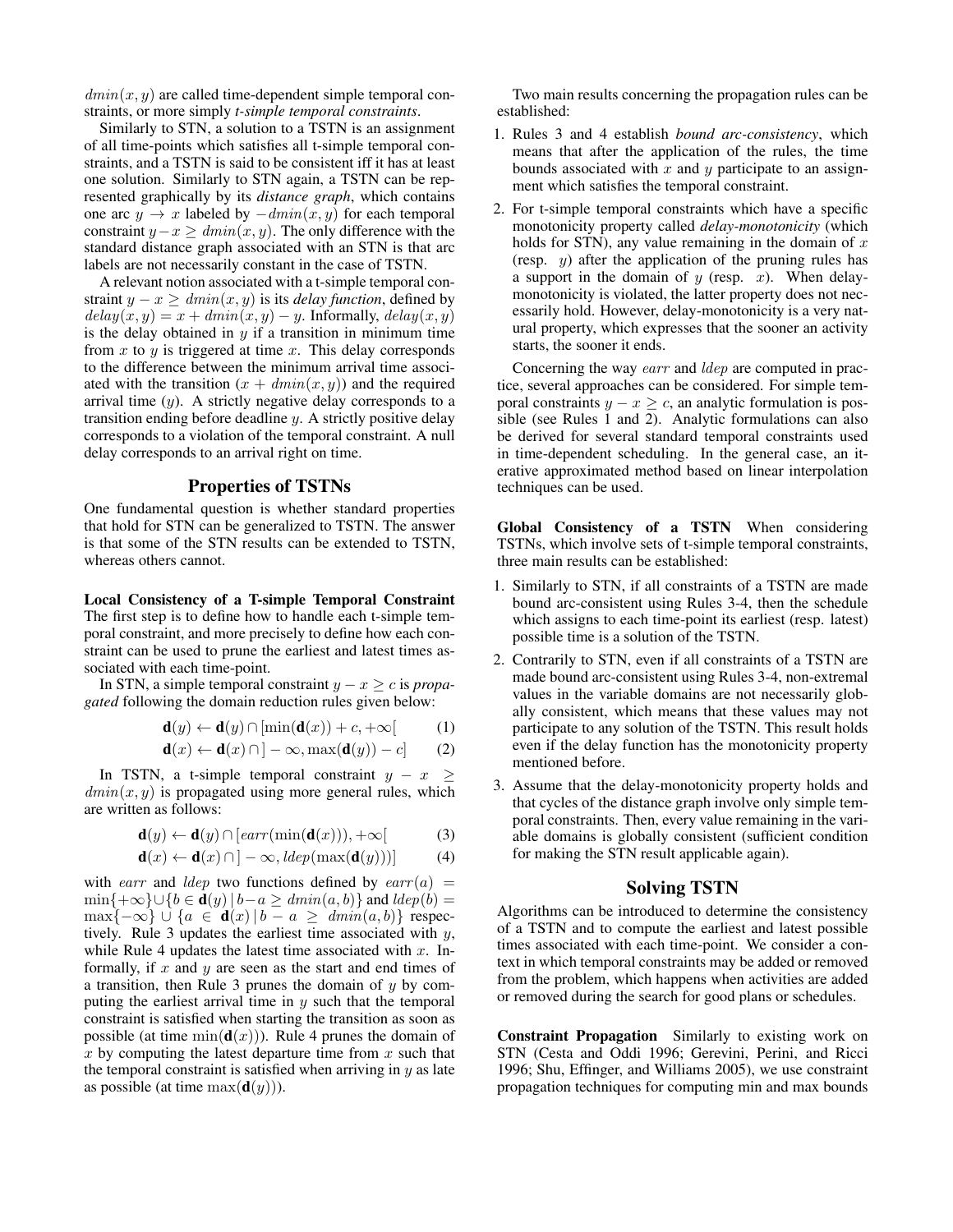$dmin(x, y)$  are called time-dependent simple temporal constraints, or more simply *t-simple temporal constraints*.

Similarly to STN, a solution to a TSTN is an assignment of all time-points which satisfies all t-simple temporal constraints, and a TSTN is said to be consistent iff it has at least one solution. Similarly to STN again, a TSTN can be represented graphically by its *distance graph*, which contains one arc  $y \rightarrow x$  labeled by  $-dmin(x, y)$  for each temporal constraint  $y-x \geq dmin(x, y)$ . The only difference with the standard distance graph associated with an STN is that arc labels are not necessarily constant in the case of TSTN.

A relevant notion associated with a t-simple temporal constraint  $y - x \geq dmin(x, y)$  is its *delay function*, defined by  $delay(x, y) = x + dmin(x, y) - y$ . Informally,  $delay(x, y)$ is the delay obtained in  $y$  if a transition in minimum time from  $x$  to  $y$  is triggered at time  $x$ . This delay corresponds to the difference between the minimum arrival time associated with the transition  $(x + dmin(x, y))$  and the required arrival time  $(y)$ . A strictly negative delay corresponds to a transition ending before deadline y. A strictly positive delay corresponds to a violation of the temporal constraint. A null delay corresponds to an arrival right on time.

### Properties of TSTNs

One fundamental question is whether standard properties that hold for STN can be generalized to TSTN. The answer is that some of the STN results can be extended to TSTN, whereas others cannot.

Local Consistency of a T-simple Temporal Constraint The first step is to define how to handle each t-simple temporal constraint, and more precisely to define how each constraint can be used to prune the earliest and latest times associated with each time-point.

In STN, a simple temporal constraint y − x ≥ c is *propagated* following the domain reduction rules given below:

$$
\mathbf{d}(y) \leftarrow \mathbf{d}(y) \cap [\min(\mathbf{d}(x)) + c, +\infty[
$$
 (1)

$$
\mathbf{d}(x) \leftarrow \mathbf{d}(x) \cap ]-\infty, \max(\mathbf{d}(y))-c] \qquad (2)
$$

In TSTN, a t-simple temporal constraint  $y - x \geq$  $dmin(x, y)$  is propagated using more general rules, which are written as follows:

$$
\mathbf{d}(y) \leftarrow \mathbf{d}(y) \cap [earr(\min(\mathbf{d}(x))), +\infty[
$$
 (3)

$$
\mathbf{d}(x) \leftarrow \mathbf{d}(x) \cap ] - \infty, \text{ldep}(\max(\mathbf{d}(y)))] \tag{4}
$$

with earr and ldep two functions defined by earr(a) =  $\min\{+\infty\}\cup\{b\in{\bf d}(y)\,|\,b-a\geq\mathit{dmin}(a,b)\}\$  and  $\mathit{ldep}(b)$  =  $\max\{-\infty\} \cup \{a \in \mathbf{d}(x) | b - a \geq dmin(a, b)\}\$ respectively. Rule 3 updates the earliest time associated with y, while Rule 4 updates the latest time associated with  $x$ . Informally, if  $x$  and  $y$  are seen as the start and end times of a transition, then Rule 3 prunes the domain of  $y$  by computing the earliest arrival time in  $y$  such that the temporal constraint is satisfied when starting the transition as soon as possible (at time  $min(\mathbf{d}(x))$ ). Rule 4 prunes the domain of  $x$  by computing the latest departure time from  $x$  such that the temporal constraint is satisfied when arriving in  $y$  as late as possible (at time  $\max(\mathbf{d}(y))$ ).

Two main results concerning the propagation rules can be established:

- 1. Rules 3 and 4 establish *bound arc-consistency*, which means that after the application of the rules, the time bounds associated with  $x$  and  $y$  participate to an assignment which satisfies the temporal constraint.
- 2. For t-simple temporal constraints which have a specific monotonicity property called *delay-monotonicity* (which holds for STN), any value remaining in the domain of  $x$ (resp.  $y$ ) after the application of the pruning rules has a support in the domain of  $y$  (resp.  $x$ ). When delaymonotonicity is violated, the latter property does not necessarily hold. However, delay-monotonicity is a very natural property, which expresses that the sooner an activity starts, the sooner it ends.

Concerning the way earr and ldep are computed in practice, several approaches can be considered. For simple temporal constraints  $y - x > c$ , an analytic formulation is possible (see Rules 1 and 2). Analytic formulations can also be derived for several standard temporal constraints used in time-dependent scheduling. In the general case, an iterative approximated method based on linear interpolation techniques can be used.

Global Consistency of a TSTN When considering TSTNs, which involve sets of t-simple temporal constraints, three main results can be established:

- 1. Similarly to STN, if all constraints of a TSTN are made bound arc-consistent using Rules 3-4, then the schedule which assigns to each time-point its earliest (resp. latest) possible time is a solution of the TSTN.
- 2. Contrarily to STN, even if all constraints of a TSTN are made bound arc-consistent using Rules 3-4, non-extremal values in the variable domains are not necessarily globally consistent, which means that these values may not participate to any solution of the TSTN. This result holds even if the delay function has the monotonicity property mentioned before.
- 3. Assume that the delay-monotonicity property holds and that cycles of the distance graph involve only simple temporal constraints. Then, every value remaining in the variable domains is globally consistent (sufficient condition for making the STN result applicable again).

## Solving TSTN

Algorithms can be introduced to determine the consistency of a TSTN and to compute the earliest and latest possible times associated with each time-point. We consider a context in which temporal constraints may be added or removed from the problem, which happens when activities are added or removed during the search for good plans or schedules.

Constraint Propagation Similarly to existing work on STN (Cesta and Oddi 1996; Gerevini, Perini, and Ricci 1996; Shu, Effinger, and Williams 2005), we use constraint propagation techniques for computing min and max bounds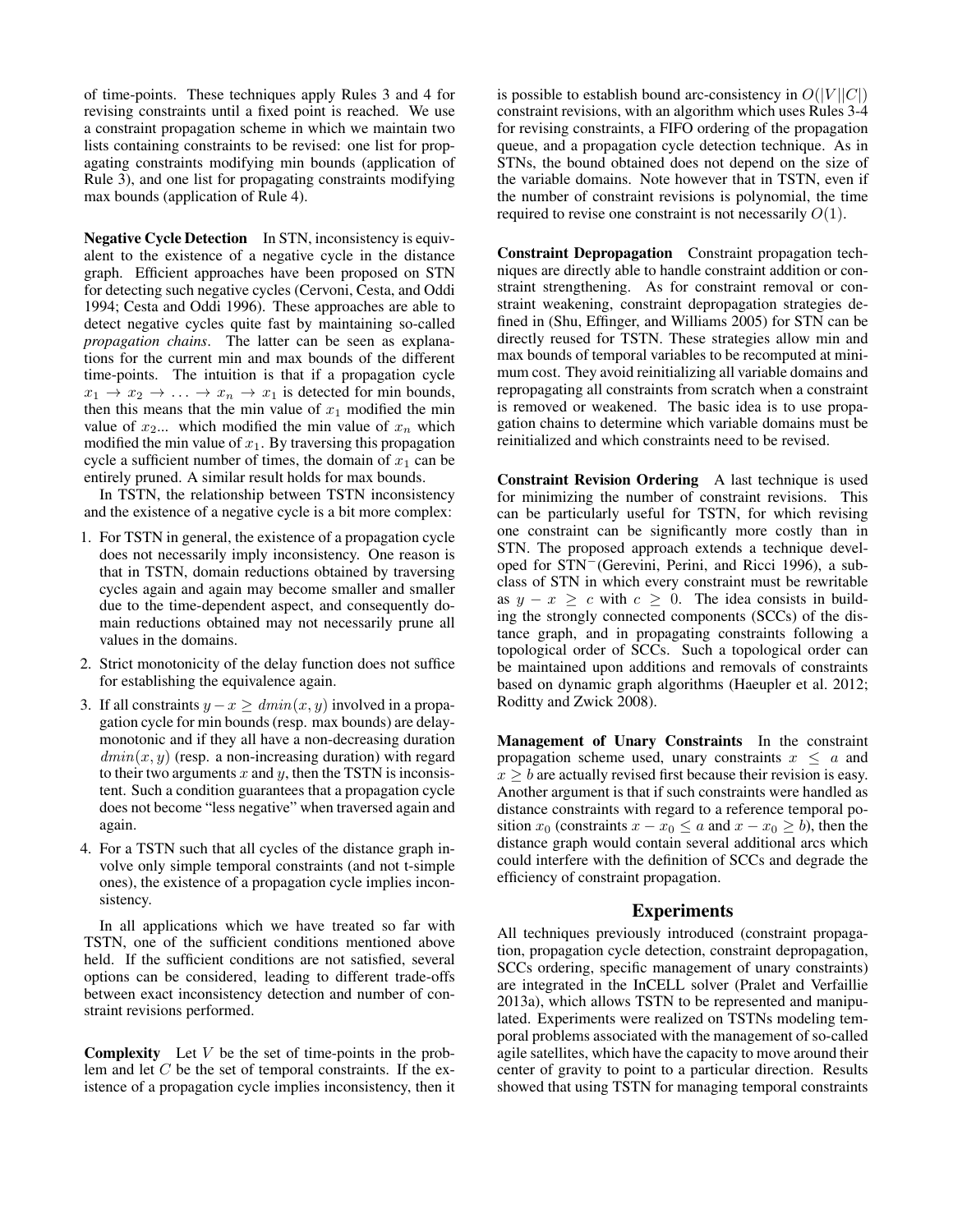of time-points. These techniques apply Rules 3 and 4 for revising constraints until a fixed point is reached. We use a constraint propagation scheme in which we maintain two lists containing constraints to be revised: one list for propagating constraints modifying min bounds (application of Rule 3), and one list for propagating constraints modifying max bounds (application of Rule 4).

Negative Cycle Detection In STN, inconsistency is equivalent to the existence of a negative cycle in the distance graph. Efficient approaches have been proposed on STN for detecting such negative cycles (Cervoni, Cesta, and Oddi 1994; Cesta and Oddi 1996). These approaches are able to detect negative cycles quite fast by maintaining so-called *propagation chains*. The latter can be seen as explanations for the current min and max bounds of the different time-points. The intuition is that if a propagation cycle  $x_1 \rightarrow x_2 \rightarrow \ldots \rightarrow x_n \rightarrow x_1$  is detected for min bounds, then this means that the min value of  $x_1$  modified the min value of  $x_2...$  which modified the min value of  $x_n$  which modified the min value of  $x_1$ . By traversing this propagation cycle a sufficient number of times, the domain of  $x_1$  can be entirely pruned. A similar result holds for max bounds.

In TSTN, the relationship between TSTN inconsistency and the existence of a negative cycle is a bit more complex:

- 1. For TSTN in general, the existence of a propagation cycle does not necessarily imply inconsistency. One reason is that in TSTN, domain reductions obtained by traversing cycles again and again may become smaller and smaller due to the time-dependent aspect, and consequently domain reductions obtained may not necessarily prune all values in the domains.
- 2. Strict monotonicity of the delay function does not suffice for establishing the equivalence again.
- 3. If all constraints  $y x \geq dmin(x, y)$  involved in a propagation cycle for min bounds (resp. max bounds) are delaymonotonic and if they all have a non-decreasing duration  $dmin(x, y)$  (resp. a non-increasing duration) with regard to their two arguments  $x$  and  $y$ , then the TSTN is inconsistent. Such a condition guarantees that a propagation cycle does not become "less negative" when traversed again and again.
- 4. For a TSTN such that all cycles of the distance graph involve only simple temporal constraints (and not t-simple ones), the existence of a propagation cycle implies inconsistency.

In all applications which we have treated so far with TSTN, one of the sufficient conditions mentioned above held. If the sufficient conditions are not satisfied, several options can be considered, leading to different trade-offs between exact inconsistency detection and number of constraint revisions performed.

**Complexity** Let  $V$  be the set of time-points in the problem and let C be the set of temporal constraints. If the existence of a propagation cycle implies inconsistency, then it

is possible to establish bound arc-consistency in  $O(|V||C|)$ constraint revisions, with an algorithm which uses Rules 3-4 for revising constraints, a FIFO ordering of the propagation queue, and a propagation cycle detection technique. As in STNs, the bound obtained does not depend on the size of the variable domains. Note however that in TSTN, even if the number of constraint revisions is polynomial, the time required to revise one constraint is not necessarily  $O(1)$ .

Constraint Depropagation Constraint propagation techniques are directly able to handle constraint addition or constraint strengthening. As for constraint removal or constraint weakening, constraint depropagation strategies defined in (Shu, Effinger, and Williams 2005) for STN can be directly reused for TSTN. These strategies allow min and max bounds of temporal variables to be recomputed at minimum cost. They avoid reinitializing all variable domains and repropagating all constraints from scratch when a constraint is removed or weakened. The basic idea is to use propagation chains to determine which variable domains must be reinitialized and which constraints need to be revised.

Constraint Revision Ordering A last technique is used for minimizing the number of constraint revisions. This can be particularly useful for TSTN, for which revising one constraint can be significantly more costly than in STN. The proposed approach extends a technique developed for STN<sup>−</sup>(Gerevini, Perini, and Ricci 1996), a subclass of STN in which every constraint must be rewritable as  $y - x \geq c$  with  $c \geq 0$ . The idea consists in building the strongly connected components (SCCs) of the distance graph, and in propagating constraints following a topological order of SCCs. Such a topological order can be maintained upon additions and removals of constraints based on dynamic graph algorithms (Haeupler et al. 2012; Roditty and Zwick 2008).

Management of Unary Constraints In the constraint propagation scheme used, unary constraints  $x \leq a$  and  $x \ge b$  are actually revised first because their revision is easy. Another argument is that if such constraints were handled as distance constraints with regard to a reference temporal position  $x_0$  (constraints  $x - x_0 \le a$  and  $x - x_0 \ge b$ ), then the distance graph would contain several additional arcs which could interfere with the definition of SCCs and degrade the efficiency of constraint propagation.

### **Experiments**

All techniques previously introduced (constraint propagation, propagation cycle detection, constraint depropagation, SCCs ordering, specific management of unary constraints) are integrated in the InCELL solver (Pralet and Verfaillie 2013a), which allows TSTN to be represented and manipulated. Experiments were realized on TSTNs modeling temporal problems associated with the management of so-called agile satellites, which have the capacity to move around their center of gravity to point to a particular direction. Results showed that using TSTN for managing temporal constraints